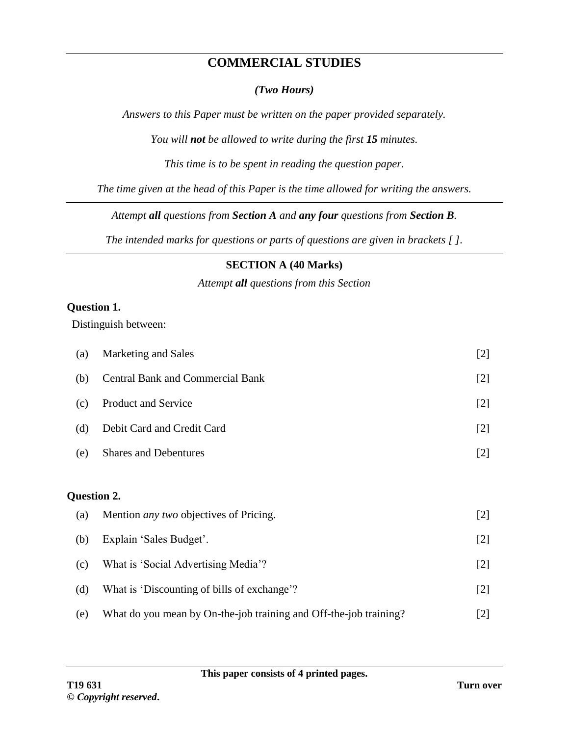## **COMMERCIAL STUDIES**

#### *(Two Hours)*

*Answers to this Paper must be written on the paper provided separately.*

*You will not be allowed to write during the first 15 minutes.*

*This time is to be spent in reading the question paper.*

*The time given at the head of this Paper is the time allowed for writing the answers.*

*Attempt all questions from Section A and any four questions from Section B.*

*The intended marks for questions or parts of questions are given in brackets [ ].*

### **SECTION A (40 Marks)**

*Attempt all questions from this Section*

#### **Question 1.**

Distinguish between:

| (a)         | Marketing and Sales                           | $[2]$ |
|-------------|-----------------------------------------------|-------|
| (b)         | <b>Central Bank and Commercial Bank</b>       | $[2]$ |
| (c)         | <b>Product and Service</b>                    | $[2]$ |
| (d)         | Debit Card and Credit Card                    | $[2]$ |
| (e)         | <b>Shares and Debentures</b>                  | $[2]$ |
|             |                                               |       |
| Question 2. |                                               |       |
| (a)         | Mention <i>any two</i> objectives of Pricing. | $[2]$ |
| (b)         | Explain 'Sales Budget'.                       | $[2]$ |
| (c)         | What is 'Social Advertising Media'?           | $[2]$ |
|             |                                               |       |
| (d)         | What is 'Discounting of bills of exchange'?   | $[2]$ |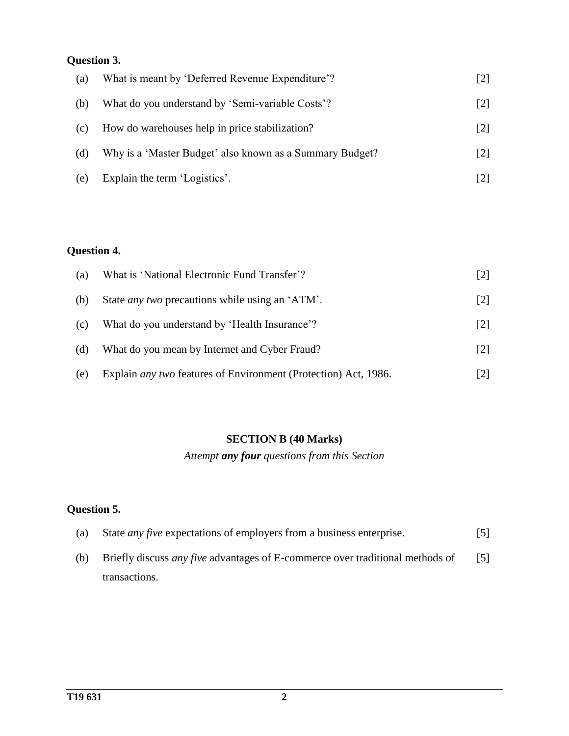## **Question 3.**

| (a) | What is meant by 'Deferred Revenue Expenditure'?         |                   |
|-----|----------------------------------------------------------|-------------------|
| (b) | What do you understand by 'Semi-variable Costs'?         | $\lceil 2 \rceil$ |
| (c) | How do warehouses help in price stabilization?           | $\lceil 2 \rceil$ |
| (d) | Why is a 'Master Budget' also known as a Summary Budget? | [2]               |
| (e) | Explain the term 'Logistics'.                            |                   |

## **Question 4.**

| (a) | What is 'National Electronic Fund Transfer'?                           |                   |
|-----|------------------------------------------------------------------------|-------------------|
| (b) | State <i>any two</i> precautions while using an 'ATM'.                 | $[2]$             |
| (c) | What do you understand by 'Health Insurance'?                          | $\lceil 2 \rceil$ |
| (d) | What do you mean by Internet and Cyber Fraud?                          | $\lceil 2 \rceil$ |
| (e) | Explain <i>any two</i> features of Environment (Protection) Act, 1986. | 121               |

#### **SECTION B (40 Marks)**

*Attempt any four questions from this Section*

## **Question 5.**

| (a) | State <i>any five</i> expectations of employers from a business enterprise.          | $\lceil 5 \rceil$ |
|-----|--------------------------------------------------------------------------------------|-------------------|
| (b) | Briefly discuss <i>any five</i> advantages of E-commerce over traditional methods of |                   |
|     | transactions.                                                                        |                   |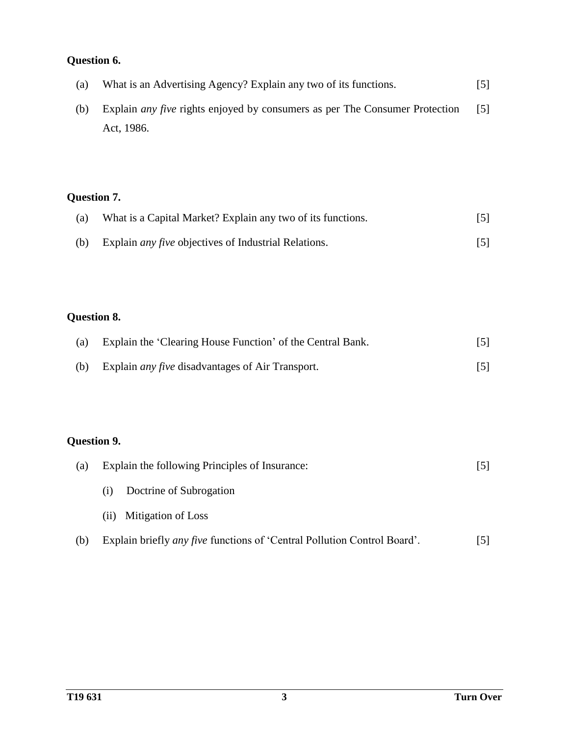# **Question 6.**

| (a) | What is an Advertising Agency? Explain any two of its functions.                   | [5]               |
|-----|------------------------------------------------------------------------------------|-------------------|
| (b) | Explain <i>any five</i> rights enjoyed by consumers as per The Consumer Protection | $\lceil 5 \rceil$ |
|     | Act, 1986.                                                                         |                   |

## **Question 7.**

| (a) | What is a Capital Market? Explain any two of its functions. | $\lceil 5 \rceil$ |
|-----|-------------------------------------------------------------|-------------------|
| (b) | Explain <i>any five</i> objectives of Industrial Relations. |                   |

## **Question 8.**

| (a) | Explain the 'Clearing House Function' of the Central Bank.  |  |
|-----|-------------------------------------------------------------|--|
|     | (b) Explain <i>any five</i> disadvantages of Air Transport. |  |

## **Question 9.**

| (a) | Explain the following Principles of Insurance:                                  |  |
|-----|---------------------------------------------------------------------------------|--|
|     | Doctrine of Subrogation<br>(i)                                                  |  |
|     | Mitigation of Loss<br>(i)                                                       |  |
| (b) | Explain briefly <i>any five</i> functions of 'Central Pollution Control Board'. |  |